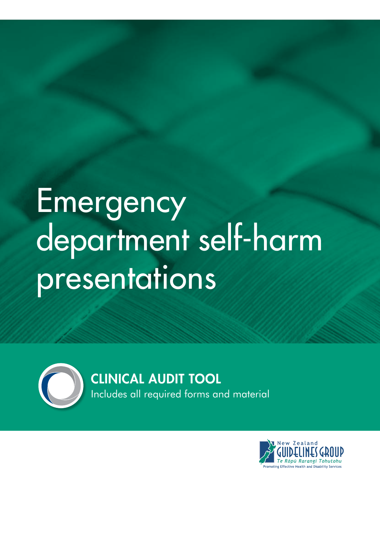## Emergency department self-harm presentations



CLINICAL AUDIT TOOL

Includes all required forms and material

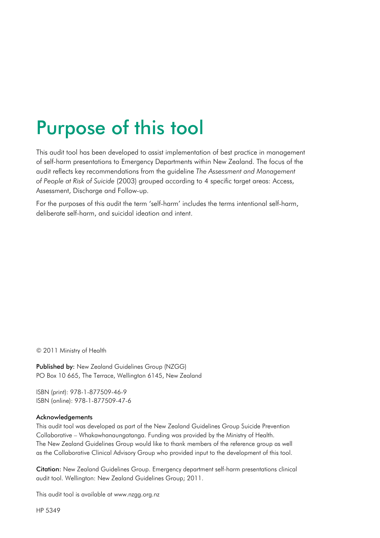### Purpose of this tool

This audit tool has been developed to assist implementation of best practice in management of self-harm presentations to Emergency Departments within New Zealand. The focus of the audit reflects key recommendations from the guideline *The Assessment and Management of People at Risk of Suicide* (2003) grouped according to 4 specific target areas: Access, Assessment, Discharge and Follow-up.

For the purposes of this audit the term 'self-harm' includes the terms intentional self-harm, deliberate self-harm, and suicidal ideation and intent.

© 2011 Ministry of Health

Published by: New Zealand Guidelines Group (NZGG) PO Box 10 665, The Terrace, Wellington 6145, New Zealand

ISBN (print): 978-1-877509-46-9 ISBN (online): 978-1-877509-47-6

#### Acknowledgements

This audit tool was developed as part of the New Zealand Guidelines Group Suicide Prevention Collaborative – Whakawhanaungatanga. Funding was provided by the Ministry of Health. The New Zealand Guidelines Group would like to thank members of the reference group as well as the Collaborative Clinical Advisory Group who provided input to the development of this tool.

Citation: New Zealand Guidelines Group. Emergency department self-harm presentations clinical audit tool. Wellington: New Zealand Guidelines Group; 2011.

This audit tool is available at [www.nzgg.org.nz](http://www.nzgg.org.nz)

HP 5349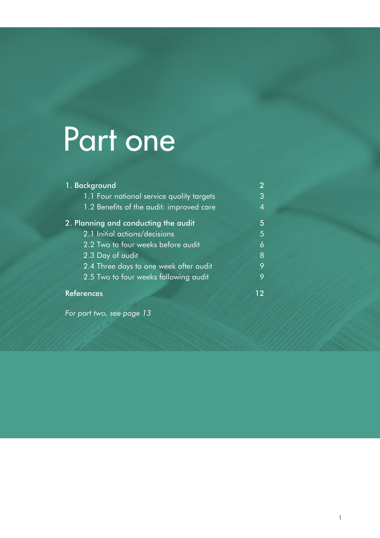## Part one

| 1. Background                             | $\overline{2}$ |
|-------------------------------------------|----------------|
| 1.1 Four national service quality targets | 3              |
| 1.2 Benefits of the audit: improved care  | $\overline{4}$ |
| 2. Planning and conducting the audit      | 5              |
| 2.1 Initial actions/decisions             | 5              |
| 2.2 Two to four weeks before audit        | 6              |
| 2.3 Day of audit                          | 8              |
| 2.4 Three days to one week after audit    | 9              |
| 2.5 Two to four weeks following audit     | 9              |
| <b>References</b>                         | 12             |

*[For part two, see page 13](#page-14-0)*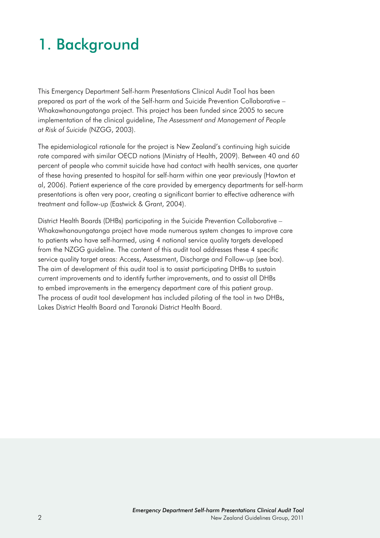#### <span id="page-3-0"></span>1. Background

This Emergency Department Self-harm Presentations Clinical Audit Tool has been prepared as part of the work of the Self-harm and Suicide Prevention Collaborative – Whakawhanaungatanga project. This project has been funded since 2005 to secure implementation of the clinical guideline, *The Assessment and Management of People at Risk of Suicide* (NZGG, 2003).

The epidemiological rationale for the project is New Zealand's continuing high suicide rate compared with similar OECD nations (Ministry of Health, 2009). Between 40 and 60 percent of people who commit suicide have had contact with health services, one quarter of these having presented to hospital for self-harm within one year previously (Hawton et al, 2006). Patient experience of the care provided by emergency departments for self-harm presentations is often very poor, creating a significant barrier to effective adherence with treatment and follow-up (Eastwick & Grant, 2004).

District Health Boards (DHBs) participating in the Suicide Prevention Collaborative – Whakawhanaungatanga project have made numerous system changes to improve care to patients who have self-harmed, using 4 national service quality targets developed from the NZGG guideline. The content of this audit tool addresses these 4 specific service quality target areas: Access, Assessment, Discharge and Follow-up (see box). The aim of development of this audit tool is to assist participating DHBs to sustain current improvements and to identify further improvements, and to assist all DHBs to embed improvements in the emergency department care of this patient group. The process of audit tool development has included piloting of the tool in two DHBs, Lakes District Health Board and Taranaki District Health Board.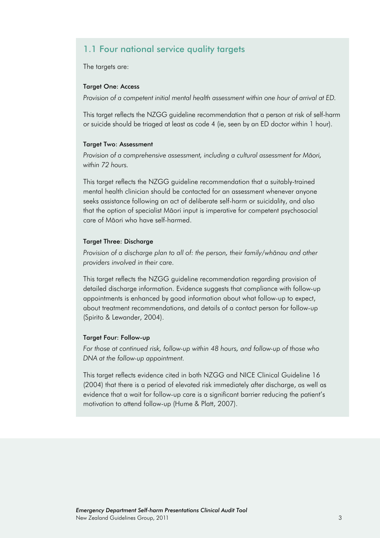#### <span id="page-4-0"></span>1.1 Four national service quality targets

The targets are:

#### Target One: Access

*Provision of a competent initial mental health assessment within one hour of arrival at ED.* 

This target reflects the NZGG guideline recommendation that a person at risk of self-harm or suicide should be triaged at least as code 4 (ie, seen by an ED doctor within 1 hour).

#### Target Two: Assessment

*Provision of a comprehensive assessment, including a cultural assessment for Mäori, within 72 hours.*

This target reflects the NZGG guideline recommendation that a suitably-trained mental health clinician should be contacted for an assessment whenever anyone seeks assistance following an act of deliberate self-harm or suicidality, and also that the option of specialist Mäori input is imperative for competent psychosocial care of Mäori who have self-harmed.

#### Target Three: Discharge

*Provision of a discharge plan to all of: the person, their family/whänau and other providers involved in their care.*

This target reflects the NZGG guideline recommendation regarding provision of detailed discharge information. Evidence suggests that compliance with follow-up appointments is enhanced by good information about what follow-up to expect, about treatment recommendations, and details of a contact person for follow-up (Spirito & Lewander, 2004).

#### Target Four: Follow-up

*For those at continued risk, follow-up within 48 hours, and follow-up of those who DNA at the follow-up appointment.* 

This target reflects evidence cited in both NZGG and NICE Clinical Guideline 16 (2004) that there is a period of elevated risk immediately after discharge, as well as evidence that a wait for follow-up care is a significant barrier reducing the patient's motivation to attend follow-up (Hume & Platt, 2007).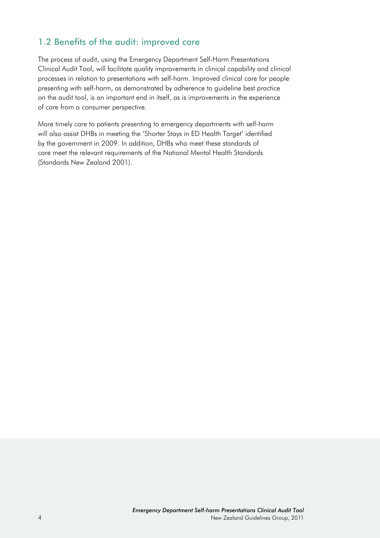#### <span id="page-5-0"></span>1.2 Benefits of the audit: improved care

The process of audit, using the Emergency Department Self-Harm Presentations Clinical Audit Tool, will facilitate quality improvements in clinical capability and clinical processes in relation to presentations with self-harm. Improved clinical care for people presenting with self-harm, as demonstrated by adherence to guideline best practice on the audit tool, is an important end in itself, as is improvements in the experience of care from a consumer perspective.

More timely care to patients presenting to emergency departments with self-harm will also assist DHBs in meeting the 'Shorter Stays in ED Health Target' identified by the government in 2009. In addition, DHBs who meet these standards of care meet the relevant requirements of the National Mental Health Standards (Standards New Zealand 2001).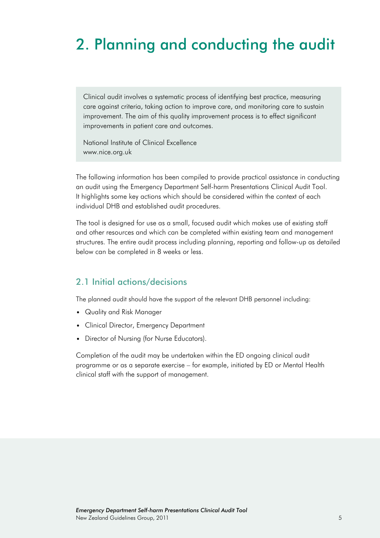#### <span id="page-6-0"></span>2. Planning and conducting the audit

Clinical audit involves a systematic process of identifying best practice, measuring care against criteria, taking action to improve care, and monitoring care to sustain improvement. The aim of this quality improvement process is to effect significant improvements in patient care and outcomes.

National Institute of Clinical Excellence [www.nice.org.uk](http://www.nice.org.uk)

The following information has been compiled to provide practical assistance in conducting an audit using the Emergency Department Self-harm Presentations Clinical Audit Tool. It highlights some key actions which should be considered within the context of each individual DHB and established audit procedures.

The tool is designed for use as a small, focused audit which makes use of existing staff and other resources and which can be completed within existing team and management structures. The entire audit process including planning, reporting and follow-up as detailed below can be completed in 8 weeks or less.

#### 2.1 Initial actions/decisions

The planned audit should have the support of the relevant DHB personnel including:

- • Quality and Risk Manager
- Clinical Director, Emergency Department
- Director of Nursing (for Nurse Educators).

Completion of the audit may be undertaken within the ED ongoing clinical audit programme or as a separate exercise – for example, initiated by ED or Mental Health clinical staff with the support of management.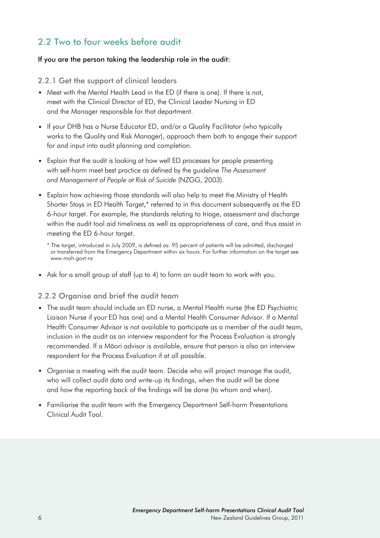#### <span id="page-7-0"></span>2.2 Two to four weeks before audit

#### If you are the person taking the leadership role in the audit:

#### 2.2.1 Get the support of clinical leaders

- Meet with the Mental Health Lead in the ED (if there is one). If there is not, meet with the Clinical Director of ED, the Clinical Leader Nursing in ED and the Manager responsible for that department.
- If your DHB has a Nurse Educator ED, and/or a Quality Facilitator (who typically works to the Quality and Risk Manager), approach them both to engage their support for and input into audit planning and completion.
- Explain that the audit is looking at how well ED processes for people presenting with self-harm meet best practice as defined by the guideline *The Assessment and Management of People at Risk of Suicide* (NZGG, 2003).
- Explain how achieving those standards will also help to meet the Ministry of Health Shorter Stays in ED Health Target,\* referred to in this document subsequently as the ED 6-hour target. For example, the standards relating to triage, assessment and discharge within the audit tool aid timeliness as well as appropriateness of care, and thus assist in meeting the ED 6-hour target.
	- \* The target, introduced in July 2009, is defined as: 95 percent of patients will be admitted, discharged or transferred from the Emergency Department within six hours. For further information on the target see [www.moh.govt.nz](http://www.moh.govt.nz)
- Ask for a small group of staff (up to 4) to form an audit team to work with you.

#### 2.2.2 Organise and brief the audit team

- The audit team should include an ED nurse, a Mental Health nurse (the ED Psychiatric Liaison Nurse if your ED has one) and a Mental Health Consumer Advisor. If a Mental Health Consumer Advisor is not available to participate as a member of the audit team, inclusion in the audit as an interview respondent for the Process Evaluation is strongly recommended. If a Mäori advisor is available, ensure that person is also an interview respondent for the Process Evaluation if at all possible.
- • Organise a meeting with the audit team. Decide who will project manage the audit, who will collect audit data and write-up its findings, when the audit will be done and how the reporting back of the findings will be done (to whom and when).
- Familiarise the audit team with the Emergency Department Self-harm Presentations Clinical Audit Tool.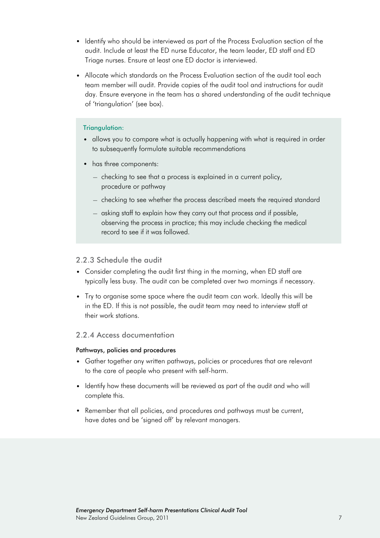- Identify who should be interviewed as part of the Process Evaluation section of the audit. Include at least the ED nurse Educator, the team leader, ED staff and ED Triage nurses. Ensure at least one ED doctor is interviewed.
- Allocate which standards on the Process Evaluation section of the audit tool each team member will audit. Provide copies of the audit tool and instructions for audit day. Ensure everyone in the team has a shared understanding of the audit technique of 'triangulation' (see box).

#### Triangulation:

- allows you to compare what is actually happening with what is required in order to subsequently formulate suitable recommendations
- has three components:
	- − checking to see that a process is explained in a current policy, procedure or pathway
	- − checking to see whether the process described meets the required standard
	- − asking staff to explain how they carry out that process and if possible, observing the process in practice; this may include checking the medical record to see if it was followed.

#### 2.2.3 Schedule the audit

- Consider completing the audit first thing in the morning, when ED staff are typically less busy. The audit can be completed over two mornings if necessary.
- Try to organise some space where the audit team can work. Ideally this will be in the ED. If this is not possible, the audit team may need to interview staff at their work stations.

#### 2.2.4 Access documentation

#### Pathways, policies and procedures

- Gather together any written pathways, policies or procedures that are relevant to the care of people who present with self-harm.
- Identify how these documents will be reviewed as part of the audit and who will complete this.
- Remember that all policies, and procedures and pathways must be current, have dates and be 'signed off' by relevant managers.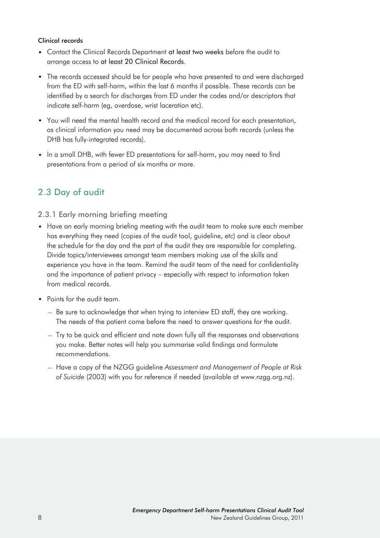#### <span id="page-9-0"></span>Clinical records

- Contact the Clinical Records Department at least two weeks before the audit to arrange access to at least 20 Clinical Records.
- The records accessed should be for people who have presented to and were discharged from the ED with self-harm, within the last 6 months if possible. These records can be identified by a search for discharges from ED under the codes and/or descriptors that indicate self-harm (eg, overdose, wrist laceration etc).
- You will need the mental health record and the medical record for each presentation, as clinical information you need may be documented across both records (unless the DHB has fully-integrated records).
- In a small DHB, with fewer ED presentations for self-harm, you may need to find presentations from a period of six months or more.

#### 2.3 Day of audit

#### 2.3.1 Early morning briefing meeting

- Have an early morning briefing meeting with the audit team to make sure each member has everything they need (copies of the audit tool, guideline, etc) and is clear about the schedule for the day and the part of the audit they are responsible for completing. Divide topics/interviewees amongst team members making use of the skills and experience you have in the team. Remind the audit team of the need for confidentiality and the importance of patient privacy – especially with respect to information taken from medical records.
- Points for the audit team.
	- − Be sure to acknowledge that when trying to interview ED staff, they are working. The needs of the patient come before the need to answer questions for the audit.
	- − Try to be quick and efficient and note down fully all the responses and observations you make. Better notes will help you summarise valid findings and formulate recommendations.
	- − Have a copy of the NZGG guideline *Assessment and Management of People at Risk of Suicide* (2003) with you for reference if needed (available at www.nzgg.org.nz).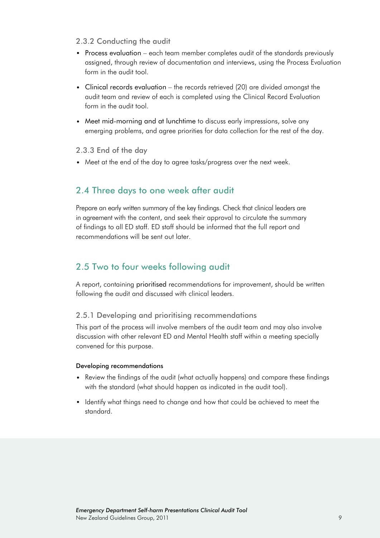#### <span id="page-10-0"></span>2.3.2 Conducting the audit

- Process evaluation each team member completes audit of the standards previously assigned, through review of documentation and interviews, using the Process Evaluation form in the audit tool.
- Clinical records evaluation the records retrieved (20) are divided amongst the audit team and review of each is completed using the Clinical Record Evaluation form in the audit tool.
- Meet mid-morning and at lunchtime to discuss early impressions, solve any emerging problems, and agree priorities for data collection for the rest of the day.

#### 2.3.3 End of the day

• Meet at the end of the day to agree tasks/progress over the next week.

#### 2.4 Three days to one week after audit

Prepare an early written summary of the key findings. Check that clinical leaders are in agreement with the content, and seek their approval to circulate the summary of findings to all ED staff. ED staff should be informed that the full report and recommendations will be sent out later.

#### 2.5 Two to four weeks following audit

A report, containing prioritised recommendations for improvement, should be written following the audit and discussed with clinical leaders.

#### 2.5.1 Developing and prioritising recommendations

This part of the process will involve members of the audit team and may also involve discussion with other relevant ED and Mental Health staff within a meeting specially convened for this purpose.

#### Developing recommendations

- Review the findings of the audit (what actually happens) and compare these findings with the standard (what should happen as indicated in the audit tool).
- Identify what things need to change and how that could be achieved to meet the standard.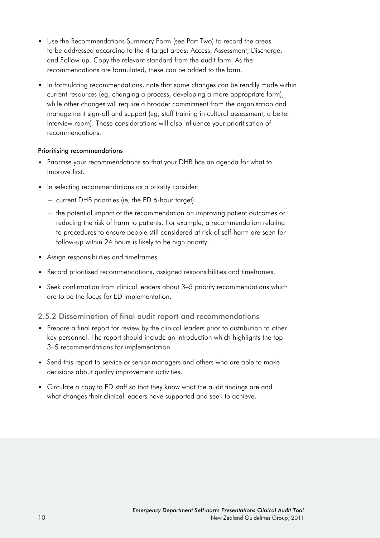- Use the Recommendations Summary Form (see Part Two) to record the areas to be addressed according to the 4 target areas: Access, Assessment, Discharge, and Follow-up. Copy the relevant standard from the audit form. As the recommendations are formulated, these can be added to the form.
- In formulating recommendations, note that some changes can be readily made within current resources (eg, changing a process, developing a more appropriate form), while other changes will require a broader commitment from the organisation and management sign-off and support (eg, staff training in cultural assessment, a better interview room). These considerations will also influence your prioritisation of recommendations.

#### Prioritising recommendations

- Prioritise your recommendations so that your DHB has an agenda for what to improve first.
- In selecting recommendations as a priority consider:
	- − current DHB priorities (ie, the ED 6-hour target)
	- − the potential impact of the recommendation on improving patient outcomes or reducing the risk of harm to patients. For example, a recommendation relating to procedures to ensure people still considered at risk of self-harm are seen for follow-up within 24 hours is likely to be high priority.
- Assign responsibilities and timeframes.
- Record prioritised recommendations, assigned responsibilities and timeframes.
- Seek confirmation from clinical leaders about 3-5 priority recommendations which are to be the focus for ED implementation.

#### 2.5.2 Dissemination of final audit report and recommendations

- Prepare a final report for review by the clinical leaders prior to distribution to other key personnel. The report should include an introduction which highlights the top 3–5 recommendations for implementation.
- Send this report to service or senior managers and others who are able to make decisions about quality improvement activities.
- Circulate a copy to ED staff so that they know what the audit findings are and what changes their clinical leaders have supported and seek to achieve.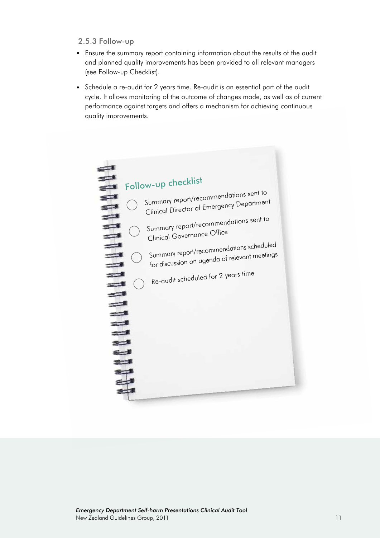#### 2.5.3 Follow-up

- Ensure the summary report containing information about the results of the audit and planned quality improvements has been provided to all relevant managers (see Follow-up Checklist).
- Schedule a re-audit for 2 years time. Re-audit is an essential part of the audit cycle. It allows monitoring of the outcome of changes made, as well as of current performance against targets and offers a mechanism for achieving continuous quality improvements.

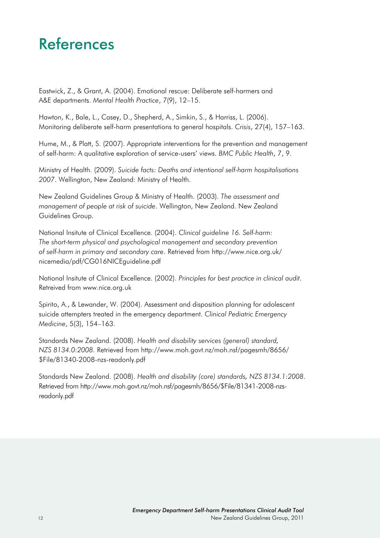#### <span id="page-13-0"></span>References

Eastwick, Z., & Grant, A. (2004). Emotional rescue: Deliberate self-harmers and A&E departments. *Mental Health Practice*, 7(9), 12–15.

Hawton, K., Bale, L., Casey, D., Shepherd, A., Simkin, S., & Harriss, L. (2006). Monitoring deliberate self-harm presentations to general hospitals. *Crisis*, 27(4), 157–163.

Hume, M., & Platt, S. (2007). Appropriate interventions for the prevention and management of self-harm: A qualitative exploration of service-users' views. *BMC Public Health*, 7, 9.

Ministry of Health. (2009). *Suicide facts: Deaths and intentional self-harm hospitalisations 2007*. Wellington, New Zealand: Ministry of Health.

New Zealand Guidelines Group & Ministry of Health. (2003). *The assessment and management of people at risk of suicide*. Wellington, New Zealand. New Zealand Guidelines Group.

National Insitute of Clinical Excellence. (2004). *Clinical guideline 16. Self-harm: The short-term physical and psychological management and secondary prevention of self-harm in primary and secondary care*. Retrieved from [http://www.nice.org.uk/](http://www.nice.org.uk/nicemedia/pdf/CG016NICEguideline.pdf) [nicemedia/pdf/CG016NICEguideline.pdf](http://www.nice.org.uk/nicemedia/pdf/CG016NICEguideline.pdf)

National Insitute of Clinical Excellence. (2002). *Principles for best practice in clinical audit*. Retreived from www.nice.org.uk

Spirito, A., & Lewander, W. (2004). Assessment and disposition planning for adolescent suicide attempters treated in the emergency department. *Clinical Pediatric Emergency Medicine*, 5(3), 154–163.

Standards New Zealand. (2008). *Health and disability services (general) standard, NZS 8134.0:2008*. Retrieved from [http://www.moh.govt.nz/moh.nsf/pagesmh/8656/](http://www.moh.govt.nz/moh.nsf/pagesmh/8656/$File/81340-2008-nzs-readonly.pdf) [\\$File/81340-2008-nzs-readonly.pdf](http://www.moh.govt.nz/moh.nsf/pagesmh/8656/$File/81340-2008-nzs-readonly.pdf)

Standards New Zealand. (2008). *Health and disability (core) standards, NZS 8134.1:2008*. Retrieved from [http://www.moh.govt.nz/moh.nsf/pagesmh/8656/\\$File/81341-2008-nzs](http://www.moh.govt.nz/moh.nsf/pagesmh/8656/$File/81341-2008-nzs-readonly.pdf )[readonly.pdf](http://www.moh.govt.nz/moh.nsf/pagesmh/8656/$File/81341-2008-nzs-readonly.pdf )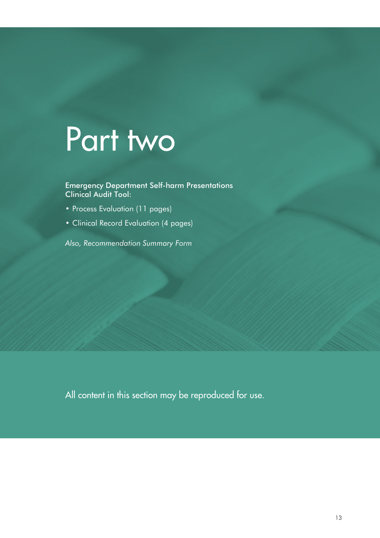### <span id="page-14-0"></span>Part two

Emergency Department Self-harm Presentations Clinical Audit Tool:

- Process [Evaluation](#page-15-0) (11 pages)
- • Clinical Record [Evaluation](#page-26-0) (4 pages)

*[Also, Recommendation Summary Form](#page-30-0)*

All content in this section may be reproduced for use.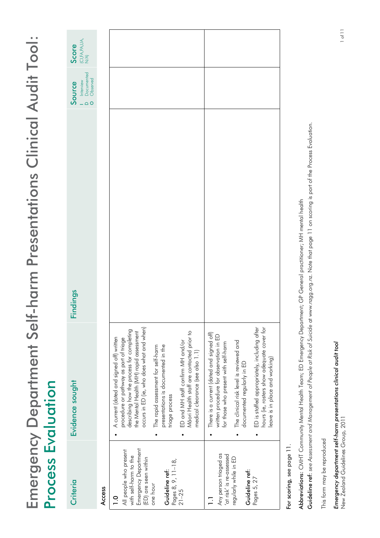<span id="page-15-0"></span>

| hours (ie, rosters show adequate cover for<br>$ED$ is staffed appropriately, including after<br>There is a current (dated and signed off)<br>written procedure for observation in ED<br>The clinical risk level is reviewed and<br>for those who present with self-harm<br>eave is in place and working)<br>documented regularly in ED<br>$\bullet$<br>Emergency Department<br>All people who present<br>Any person triaged as<br>'at risk' is re-assessed<br>with self-harm to the<br>(ED) are seen within<br>regularly while in ED<br>Pages 8, 9, 11-18,<br>Guideline ref:<br>Guideline ref:<br>Pages 5, 27<br>Criteria<br>one hour<br>Access<br>$21 - 25$<br>$\overline{0}$ | -harm Presentations Clinical Audit Tool:<br><b>Findings</b><br>Emergency Department Self<br>Process Evaluation<br>occurs in ED (ie, who does what and when)<br>describing how the process for completing<br>Māori Health staff are contacted prior to<br>the Mental Health (MH) rapid assessment<br>A current (dated and signed off) written<br>procedure or pathway as part of triage<br>ED and MH staff confirm MH and/or<br>presentations is documented in the<br>The rapid assessment for self-harm<br>medical clearance (see also 1.1)<br>Evidence sought<br>triage process |  |
|--------------------------------------------------------------------------------------------------------------------------------------------------------------------------------------------------------------------------------------------------------------------------------------------------------------------------------------------------------------------------------------------------------------------------------------------------------------------------------------------------------------------------------------------------------------------------------------------------------------------------------------------------------------------------------|----------------------------------------------------------------------------------------------------------------------------------------------------------------------------------------------------------------------------------------------------------------------------------------------------------------------------------------------------------------------------------------------------------------------------------------------------------------------------------------------------------------------------------------------------------------------------------|--|
|--------------------------------------------------------------------------------------------------------------------------------------------------------------------------------------------------------------------------------------------------------------------------------------------------------------------------------------------------------------------------------------------------------------------------------------------------------------------------------------------------------------------------------------------------------------------------------------------------------------------------------------------------------------------------------|----------------------------------------------------------------------------------------------------------------------------------------------------------------------------------------------------------------------------------------------------------------------------------------------------------------------------------------------------------------------------------------------------------------------------------------------------------------------------------------------------------------------------------------------------------------------------------|--|

For scoring, see page 11. For scoring, see page 11.

Abbreviations: CMHT Community Mental Health Team; ED Emergency Department; GP General practitioner; MH mental health Abbreviations: CMHT Community Mental Health Team; ED Emergency Department; GP General practitioner; MH mental health

Guideline ref: see Assessment and Management of People at Risk of Suicide at www.nzgg.org.nz. Note that page 11 on scoring is part of the Process Evaluation. Guideline ref: *see Assessment and Management of People at Risk of Suicide* at www.nzgg.org.nz. Note that page 11 on scoring is part of the Process Evaluation.

This form may be reproduced This form may be reproduced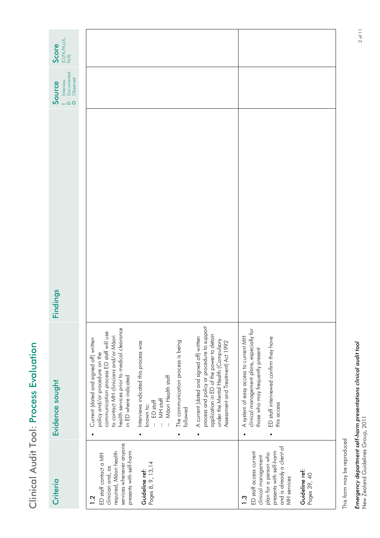| ļ                          |
|----------------------------|
| C                          |
|                            |
| ׇ֠<br>ı                    |
| ×<br>×,<br>ı<br>ļ          |
| ï<br>ı<br>I<br>I<br>ė<br>I |

| Criteria                                                                                                                                                                                           | Evidence sought                                                                                                                                                                                                                                                                                                                                                                                                                                                                                                                                                                                              | Findings | Documented<br>Observed<br>Interview<br>Source<br>$\circ$ | $\begin{array}{l} \text{(C),FA,PA,UA,}\\ \text{N/A)} \end{array}$<br>Score |
|----------------------------------------------------------------------------------------------------------------------------------------------------------------------------------------------------|--------------------------------------------------------------------------------------------------------------------------------------------------------------------------------------------------------------------------------------------------------------------------------------------------------------------------------------------------------------------------------------------------------------------------------------------------------------------------------------------------------------------------------------------------------------------------------------------------------------|----------|----------------------------------------------------------|----------------------------------------------------------------------------|
| services whenever anyone<br>presents with self-harm<br>required, Māori health<br>ED staff contact a MH<br>Pages 8, 9, 13, 14<br>clinician and, as<br>Guideline ref:<br>$\overline{1}$ .2           | process and policy or procedure to support<br>health services prior to medical clearance<br>in ED where indicated<br>communication process ED staff will use<br>application in ED of the power to detain<br>to contact MH clinicians and/or Māori<br>A current (dated and signed off) written<br>Current (dated and signed off) written<br>under the Mental Health (Compulsory<br>The communication process is being<br>Assessment and Treatment) Act 1992<br>Interviews indicated this process was<br>policy and/or procedure on the<br>Māori Health staff<br>MH stoff<br>ED staff<br>known to:<br>followed |          |                                                          |                                                                            |
| and is already a client of<br>presents with self-harm<br>ED staff access current<br>plan for a person who<br>clinical management<br>Guideline ref:<br>Pages 39, 40<br>MH services<br>$\frac{3}{2}$ | clinical management plans, especially for<br>A system of easy access to current MH<br>ED staff interviewed confirm they have<br>those who may frequently present<br>this access                                                                                                                                                                                                                                                                                                                                                                                                                              |          |                                                          |                                                                            |

Linergency acparitions series are series for the presentance of the community of 11.11 of 11.12 of 11.12 of 11<br>New Zealand Guidelines Group, 2011 **Emergency department self-harm presentations clinical audit tool**<br>New Zealand Guidelines Group, 2011 *Emergency department self-harm presentations clinical audit tool*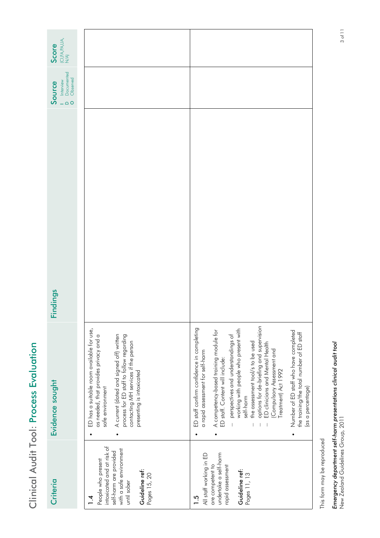| cccc<br>۱   |
|-------------|
|             |
| ı<br>p<br>ı |
| ï<br>ı<br>١ |

| $\begin{array}{l} \text{(C1,FA,PA,UA,}\\ \text{N/A)} \end{array}$<br>Score |                                                                                                                                                                                                                                                                                   |                                                                                                                                                                                                                                                                                                                                                                                                                                                                                                                                                     |
|----------------------------------------------------------------------------|-----------------------------------------------------------------------------------------------------------------------------------------------------------------------------------------------------------------------------------------------------------------------------------|-----------------------------------------------------------------------------------------------------------------------------------------------------------------------------------------------------------------------------------------------------------------------------------------------------------------------------------------------------------------------------------------------------------------------------------------------------------------------------------------------------------------------------------------------------|
| Documented<br>Observed<br>Interview<br>Source<br>$\circ$                   |                                                                                                                                                                                                                                                                                   |                                                                                                                                                                                                                                                                                                                                                                                                                                                                                                                                                     |
| Findings                                                                   |                                                                                                                                                                                                                                                                                   |                                                                                                                                                                                                                                                                                                                                                                                                                                                                                                                                                     |
| Evidence sought                                                            | ED has a suitable room available for use,<br>as needed, that provides privacy and a<br>A current (dated and signed off) written<br>process for ED staff to follow regarding<br>contacting MH services if the person<br>presenting is intoxicated<br>safe environment<br>$\bullet$ | options for de-briefing and supervision<br>ED staff confirm confidence in completing<br>working with people who present with<br>A competency-based training module for<br>ED staff. Content will include:<br>Number of ED staff who have completed<br>the training/the total number of ED staff<br>perspectives and understandings of<br>the assessment tool/s to be used<br>ED clinicians and Mental Health<br>Compulsory Assessment and<br>a rapid assessment for self-harm<br>Treatment) Act 1992<br>(as a percentage)<br>self-harm<br>$\bullet$ |
| Criteria                                                                   | intoxicated and at risk of<br>with a safe environment<br>self-harm are provided<br>People who present<br>Guideline ref:<br>Pages 15, 20<br>until sober<br>4.                                                                                                                      | All staff working in ED<br>undertake a self-harm<br>are competent to<br>rapid assessment<br>Guideline ref:<br>Pages 11, 13<br>$1.\overline{5}$                                                                                                                                                                                                                                                                                                                                                                                                      |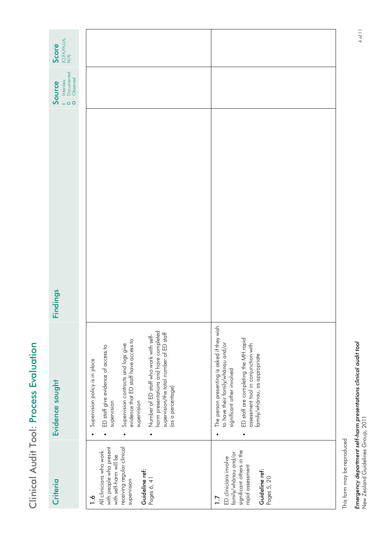| ı<br>í                |
|-----------------------|
| ļ                     |
| ٢                     |
| l                     |
| f,<br>ı<br>ļ          |
| Ì<br>I<br>I<br>ė<br>I |
|                       |

| $\begin{array}{l} \text{(C),FA,PA,UA,}\\ \text{N/A)} \end{array}$<br>Score |                                                                                                                                                                                                                                                                                                                                                                   |                                                                                                                                                                                                                                                   |
|----------------------------------------------------------------------------|-------------------------------------------------------------------------------------------------------------------------------------------------------------------------------------------------------------------------------------------------------------------------------------------------------------------------------------------------------------------|---------------------------------------------------------------------------------------------------------------------------------------------------------------------------------------------------------------------------------------------------|
| Documented<br>Observed<br>Interview<br>Source<br>$\circ$                   |                                                                                                                                                                                                                                                                                                                                                                   |                                                                                                                                                                                                                                                   |
| Findings                                                                   |                                                                                                                                                                                                                                                                                                                                                                   |                                                                                                                                                                                                                                                   |
| Evidence sought                                                            | harm presentations and have completed<br>supervision/the total number of ED staff<br>Number of ED staff who work with self-<br>evidence that ED staff have access to<br>Supervision contracts and logs give<br>ED staff give evidence of access to<br>Supervision policy is in place<br>(as a percentage)<br>supervision<br>supervision<br>$\bullet$<br>$\bullet$ | The person presenting is asked if they wish<br>ED staff are completing the MH rapid<br>to have their family/whānau and/or<br>assessment tool in conjunction with<br>family/whānau, as appropriate<br>significant other involved<br>$\bullet$<br>٠ |
| Criteria                                                                   | receiving regular clinical<br>with people who present<br>All clinicians who work<br>with self-harm will be<br>Guideline ref:<br>Pages 6, 41<br>supervision<br>$\frac{6}{1}$                                                                                                                                                                                       | significant others in the<br>family/whānau and/or<br>ED clinicians involve<br>rapid assessment<br>Guideline ref:<br>Pages 5, 20<br>$\overline{1}$ .7                                                                                              |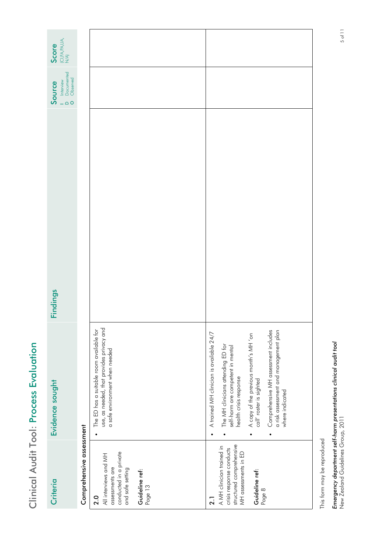| $\begin{array}{l} \text{(C),FA,PA,UA,}\\ \text{N/A)} \end{array}$<br>Score |                                                                                                                                                        |                                                                                                                                                                                                                                                                                                                                                              |
|----------------------------------------------------------------------------|--------------------------------------------------------------------------------------------------------------------------------------------------------|--------------------------------------------------------------------------------------------------------------------------------------------------------------------------------------------------------------------------------------------------------------------------------------------------------------------------------------------------------------|
| Documented<br>Observed<br>Interview<br>Source<br>$\circ$                   |                                                                                                                                                        |                                                                                                                                                                                                                                                                                                                                                              |
| Findings                                                                   |                                                                                                                                                        |                                                                                                                                                                                                                                                                                                                                                              |
| Evidence sought                                                            | use, as needed, that provides privacy and<br>The ED has a suitable room available for<br>a safe environment when needed                                | Comprehensive MH assessment includes<br>a risk assessment and management plan<br>A trained MH clinician is available 24/7<br>A copy of the previous month's MH 'on<br>The MH clinicians attending ED for<br>self-harm are competent in mental<br>health crisis response<br>call' roster is sighted<br>where indicated<br>$\bullet$<br>$\bullet$<br>$\bullet$ |
| Criteria                                                                   | Comprehensive assessment<br>conducted in a private<br>All interviews and MH<br>assessments are<br>and safe setting<br>Guideline ref:<br>Page 13<br>2.0 | structured comprehensive<br>A MH clinician trained in<br>crisis response conducts<br>MH assessments in ED<br>Guideline ref:<br>Page 8<br>$\overline{2}$ .                                                                                                                                                                                                    |

Clinical Audit Tool: Process Evaluation

Clinical Audit Tool: Process Evaluation

This form may be reproduced This form may be reproduced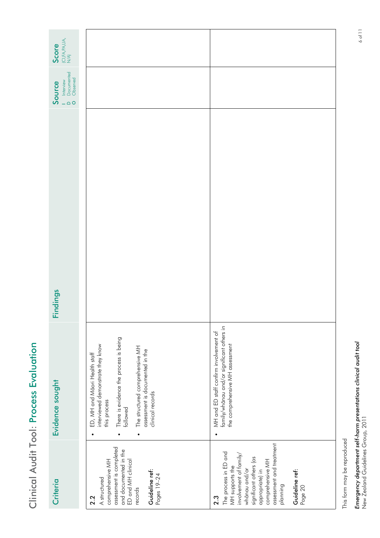| Ï                           |
|-----------------------------|
| ļ                           |
| ֦<br>í                      |
|                             |
| l<br>8                      |
| ı.<br>t<br>s<br>ı<br>٠<br>ļ |
| í                           |
| Ì<br>ı<br>I<br>ı<br>ö       |
| l<br>Ï                      |

| $\begin{array}{l} \text{(C1,FA,PA,UA,}\\ \text{N/A)} \end{array}$<br>Score |                                                                                                                                                                                                                                                              |                                                                                                                                                                                                                                  |
|----------------------------------------------------------------------------|--------------------------------------------------------------------------------------------------------------------------------------------------------------------------------------------------------------------------------------------------------------|----------------------------------------------------------------------------------------------------------------------------------------------------------------------------------------------------------------------------------|
| Interview<br>Documented<br>Observed<br>Source<br>$\circ$<br>L,             |                                                                                                                                                                                                                                                              |                                                                                                                                                                                                                                  |
| Findings                                                                   |                                                                                                                                                                                                                                                              |                                                                                                                                                                                                                                  |
| Evidence sought                                                            | There is evidence the process is being<br>followed<br>interviewed demonstrate they know<br>The structured comprehensive MH<br>assessment is documented in the<br>ED, MH and Māori Health staff<br>clinical records<br>this process<br>$\bullet$<br>$\bullet$ | family/whanau and/or significant others in<br>MH and ED staff confirm involvement of<br>the comprehensive MH assessment                                                                                                          |
| Criteria                                                                   | assessment is completed<br>and documented in the<br>ED and MH clinical<br>comprehensive MH<br>Guideline ref:<br>Pages 19-24<br>A structured<br>records<br>2.2                                                                                                | assessment and treatment<br>The process in ED and<br>involvement of family/<br>significant others (as<br>comprehensive MH<br>MH supports the<br>whānau and/or<br>appropriate) in<br>Guideline ref:<br>planning<br>Page 20<br>2.3 |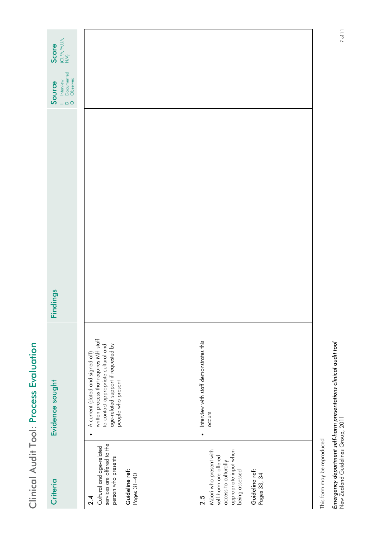| $\begin{array}{l} \text{(C),FA,PA,UA,}\\ \text{N/A)} \end{array}$<br>Score |                                                                                                                                                                                |                                                                                                                                                              |
|----------------------------------------------------------------------------|--------------------------------------------------------------------------------------------------------------------------------------------------------------------------------|--------------------------------------------------------------------------------------------------------------------------------------------------------------|
| Documented<br>Observed<br>Interview<br>Source<br>$\bigcirc$ O              |                                                                                                                                                                                |                                                                                                                                                              |
| Findings                                                                   |                                                                                                                                                                                |                                                                                                                                                              |
| Evidence sought                                                            | written process that requires MH staff<br>to contact appropriate cultural and<br>age-related support if requested by<br>A current (dated and signed off)<br>people who present | • Interview with staff demonstrates this<br>occurs                                                                                                           |
| Criteria                                                                   | services are offered to the<br>Cultural and age-related<br>person who presents<br>Guideline ref:<br>Pages 31-40<br>2.4                                                         | Māori who present with<br>appropriate input when<br>being assessed<br>self-harm are offered<br>access to culturally<br>Guideline ref:<br>Pages 33, 34<br>2.5 |

Clinical Audit Tool: Process Evaluation

Clinical Audit Tool: Process Evaluation

This form may be reproduced This form may be reproduced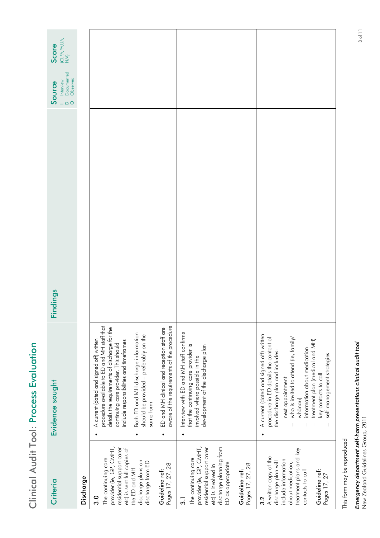| ï<br>j                |        |
|-----------------------|--------|
| ι<br>ļ<br>ĵ<br>í<br>C |        |
| ı<br>s                |        |
|                       | l      |
| ï<br>I                | ı<br>۱ |

| Evidence sought                                                            | procedure available to ED and MH staff that<br>details the requirements of discharge for the<br>ED and MH clinical and reception staff are<br>Both ED and MH discharge information<br>should be provided - preferably on the<br>A current (dated and signed off) written<br>include responsibilities and timeframes<br>continuing care provider. This should<br>same torm<br>$\bullet$<br>$\bullet$<br>provider (ie, GP, CMHT,<br>residential support carer<br>etc) is sent full copies of<br>The continuing care<br>discharge plans on<br>discharge from ED<br>the ED and MH<br>Guideline ref: | aware of the requirements of the procedure<br>Interview with ED and MH staff confirms<br>that the continuing care provider is<br>development of the discharge plan<br>involved where possible in the<br>$\bullet$<br>provider (ie, GP, CMHT,<br>discharge planning from<br>residential support carer<br>The continuing care<br>ED as appropriate<br>Pages 17, 27, 28<br>Pages 17, 27, 28<br>etc) is involved in<br>Guideline ref: | A current (dated and signed off) written<br>who is invited to attend (ie, family/<br>procedure in ED details the content of<br>treatment plan (medical and MH)<br>information about medication<br>the discharge plan and includes:<br>self-management strategies<br>key contacts to call<br>next appointment<br>whānau)<br>treatment plans and key<br>A written copy of the<br>include information<br>discharge plan will<br>about medication,<br>Guideline ref:<br>contacts to call |
|----------------------------------------------------------------------------|-------------------------------------------------------------------------------------------------------------------------------------------------------------------------------------------------------------------------------------------------------------------------------------------------------------------------------------------------------------------------------------------------------------------------------------------------------------------------------------------------------------------------------------------------------------------------------------------------|-----------------------------------------------------------------------------------------------------------------------------------------------------------------------------------------------------------------------------------------------------------------------------------------------------------------------------------------------------------------------------------------------------------------------------------|--------------------------------------------------------------------------------------------------------------------------------------------------------------------------------------------------------------------------------------------------------------------------------------------------------------------------------------------------------------------------------------------------------------------------------------------------------------------------------------|
|                                                                            |                                                                                                                                                                                                                                                                                                                                                                                                                                                                                                                                                                                                 |                                                                                                                                                                                                                                                                                                                                                                                                                                   |                                                                                                                                                                                                                                                                                                                                                                                                                                                                                      |
| Findings                                                                   |                                                                                                                                                                                                                                                                                                                                                                                                                                                                                                                                                                                                 |                                                                                                                                                                                                                                                                                                                                                                                                                                   |                                                                                                                                                                                                                                                                                                                                                                                                                                                                                      |
| Documented<br>Observed<br>Interview<br>Source<br>$\bigcirc$ O              |                                                                                                                                                                                                                                                                                                                                                                                                                                                                                                                                                                                                 |                                                                                                                                                                                                                                                                                                                                                                                                                                   |                                                                                                                                                                                                                                                                                                                                                                                                                                                                                      |
| $\begin{array}{l} \text{(C),FA,PA,UA,}\\ \text{N/A)} \end{array}$<br>Score |                                                                                                                                                                                                                                                                                                                                                                                                                                                                                                                                                                                                 |                                                                                                                                                                                                                                                                                                                                                                                                                                   |                                                                                                                                                                                                                                                                                                                                                                                                                                                                                      |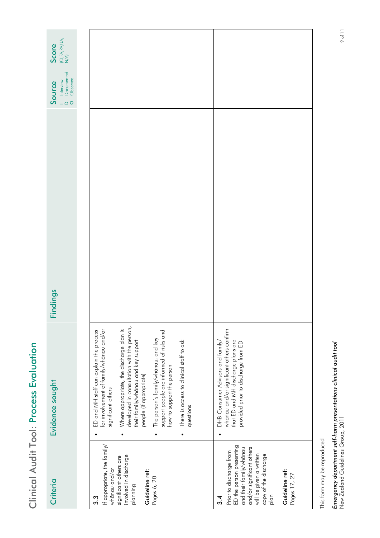| $\begin{array}{l} \text{(C),FA,PA,UA,}\\ \text{N/A)} \end{array}$<br>Score |                                                                                                                                                                                                                                                                                                                                                                                                                                                            |                                                                                                                                                                                                                         |
|----------------------------------------------------------------------------|------------------------------------------------------------------------------------------------------------------------------------------------------------------------------------------------------------------------------------------------------------------------------------------------------------------------------------------------------------------------------------------------------------------------------------------------------------|-------------------------------------------------------------------------------------------------------------------------------------------------------------------------------------------------------------------------|
| Documented<br>Observed<br>Interview<br>Source<br>$\bigcirc$ O              |                                                                                                                                                                                                                                                                                                                                                                                                                                                            |                                                                                                                                                                                                                         |
| Findings                                                                   |                                                                                                                                                                                                                                                                                                                                                                                                                                                            |                                                                                                                                                                                                                         |
| Evidence sought                                                            | developed in consultation with the person,<br>Where appropriate, the discharge plan is<br>for involvement of family/whanau and/or<br>ED and MH staff can explain the process<br>support people are informed of risks and<br>The person's family/whanau, and key<br>There is access to clinical staff to ask<br>their family/whānau and key support<br>how to support the person<br>people (if appropriate)<br>significant others<br>questions<br>$\bullet$ | whānau and/or significant others confirm<br>that ED and MH discharge plans are<br>DHB Consumer Advisors and family/<br>provided prior to discharge from ED                                                              |
| Criteria                                                                   | If appropriate, the family/<br>involved in discharge<br>significant others are<br>whānau and/or<br>Guideline ref:<br>Pages 6, 20<br>planning<br>3.3                                                                                                                                                                                                                                                                                                        | ED the person presenting<br>and their family/whānau<br>and/or significant others<br>Prior to discharge from<br>will be given a written<br>copy of the discharge<br>Guideline ref:<br>Pages 17, 27<br>plan<br><u>ત્ર</u> |

Clinical Audit Tool: Process Evaluation

Clinical Audit Tool: Process Evaluation

This form may be reproduced This form may be reproduced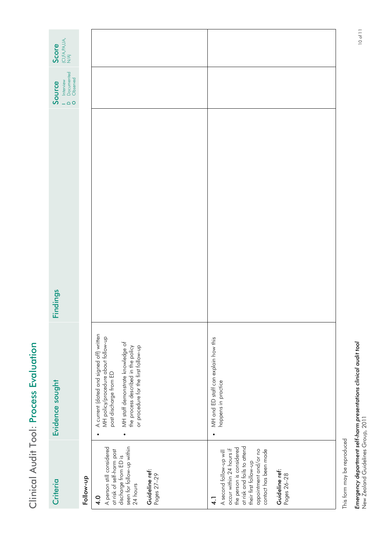| ï                                          |
|--------------------------------------------|
| ı                                          |
| ſ                                          |
|                                            |
|                                            |
| s                                          |
| ı<br>,<br>٠<br>p<br>×.<br>,<br>I<br>I<br>ı |
| ٠<br>į<br>ï                                |

| $\begin{array}{l} \text{(C),FA,PA,UA,}\\ \text{N/A)} \end{array}$<br>Score |           |                                                                                                                                                                                                                                            |                                                                                                                                                                                                                                             |
|----------------------------------------------------------------------------|-----------|--------------------------------------------------------------------------------------------------------------------------------------------------------------------------------------------------------------------------------------------|---------------------------------------------------------------------------------------------------------------------------------------------------------------------------------------------------------------------------------------------|
| Documented<br>Observed<br>Interview<br>Source<br>$\bigcirc$                |           |                                                                                                                                                                                                                                            |                                                                                                                                                                                                                                             |
| Findings                                                                   |           |                                                                                                                                                                                                                                            |                                                                                                                                                                                                                                             |
| Evidence sought                                                            |           | A current (dated and signed off) written<br>MH policy/procedure about follow-up<br>MH staff demonstrate knowledge of<br>or procedure for the first follow-up<br>the process described in the policy<br>post discharge from ED<br>$\bullet$ | MH and ED staff can explain how this<br>happens in practice<br>$\bullet$                                                                                                                                                                    |
| Criteria                                                                   | Follow-up | seen for follow-up within<br>A person still considered<br>at risk of self-harm post<br>discharge from ED is<br>Guideline ref:<br>Pages 27-29<br>24 hours<br>$\frac{0}{4}$                                                                  | at risk and fails to attend<br>the person is considered<br>occur within 24 hours if<br>appointment and/or no<br>contact has been made<br>A second follow-up will<br>their first follow-up<br>Guideline ref:<br>Pages 26-28<br>$\frac{1}{4}$ |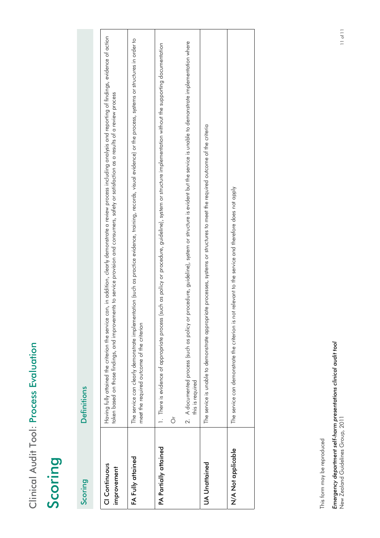| i                                  |
|------------------------------------|
| ı                                  |
| Q<br>l<br>i<br>Í<br>C              |
|                                    |
| ı<br>۱<br>ŀ                        |
| n<br>ı.<br>t                       |
| Į<br>۱<br>t<br>٠<br>ľ<br>۹         |
| ı<br>$\blacksquare$<br>ı<br>ï<br>ı |
| Ì<br>֠<br>I                        |
| í<br>Ï<br>E                        |
| ۱                                  |

## Scoring

| Scoring                      | Definitions                                                                                                                                                                                                                                                                                                                    |
|------------------------------|--------------------------------------------------------------------------------------------------------------------------------------------------------------------------------------------------------------------------------------------------------------------------------------------------------------------------------|
| CI Continuous<br>improvement | can, in addition, clearly demonstrate a review process including analysis and reporting of findings, evidence of action<br>nents to service provision and consumers, satety or satistaction as a results of a review process<br>taken based on those findings, and improvem<br>Having fully attained the criterion the service |
| FA Fully attained            | The service can clearly demonstrate implementation (such as practice evidence, training, records, visual evidence) or the process, systems or structures in order to<br>meet the required outcome of the criterion                                                                                                             |
| PA Partially attained        | such as policy or procedure, guideline), system or structure implementation without the supporting documentation<br>1. There is evidence of appropriate process<br>ò                                                                                                                                                           |
|                              | procedure, guideline), system or structure is evident but the service is unable to demonstrate implementation where<br>2. A documented process (such as policy or<br>this is required                                                                                                                                          |
| UA Unattained                | The service is unable to demonstrate appropriate processes, systems or structures to meet the required outcome of the criteria                                                                                                                                                                                                 |
| N/A Not applicable           | The service can demonstrate the criterion is not relevant to the service and therefore does not apply                                                                                                                                                                                                                          |
|                              |                                                                                                                                                                                                                                                                                                                                |

This form may be reproduced This form may be reproduced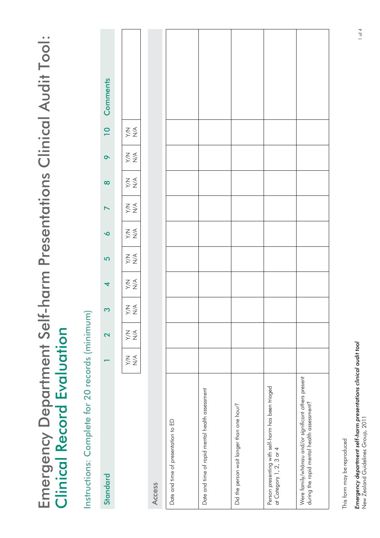<span id="page-26-0"></span>Emergency Department Self-harm Presentations Clinical Audit Tool: Emergency Department Self-harm Presentations Clinical Audit Tool: **Clinical Record Evaluation** Clinical Record Evaluation

Instructions: Complete for 20 records (minimum) Instructions: Complete for 20 records (minimum)

| Comments         |                                                                                                    |        |                                     |                                                 |                                           |                                                                               |                                                                                                    |
|------------------|----------------------------------------------------------------------------------------------------|--------|-------------------------------------|-------------------------------------------------|-------------------------------------------|-------------------------------------------------------------------------------|----------------------------------------------------------------------------------------------------|
| $\overline{10}$  | $\underset{\textstyle\geq\,}\leq\,\underset{\textstyle\geq\,}\leq$                                 |        |                                     |                                                 |                                           |                                                                               |                                                                                                    |
| $\bullet$        | $\mathop{\gtrless}\limits_{\mathop{\sim}\limits^{\mathop{\sim}\limits_{\mathop{\sim}\limits^{}}}}$ |        |                                     |                                                 |                                           |                                                                               |                                                                                                    |
| $\infty$         | $\mathop{\lesssim}\limits_{\mathop{\sim}\limits^{\mathop{\sim}\limits_{\mathop{\sim}\limits^{}}}}$ |        |                                     |                                                 |                                           |                                                                               |                                                                                                    |
| $\triangleright$ | $\underset{\textstyle\geq\,2}{\leq}$                                                               |        |                                     |                                                 |                                           |                                                                               |                                                                                                    |
| $\bullet$        | $\underset{\textstyle\geq\,2}{\leq}$                                                               |        |                                     |                                                 |                                           |                                                                               |                                                                                                    |
| 5                | $\mathop{\bf \sum}\limits_{\mathop{\bf \sum}}^{\mathop{\bf \sum}}$                                 |        |                                     |                                                 |                                           |                                                                               |                                                                                                    |
| 4                | $\underset{\textstyle\geq\,}\sum\,\underset{\textstyle\geq\,}\leq$                                 |        |                                     |                                                 |                                           |                                                                               |                                                                                                    |
| S                | $\underset{\textstyle\geq\,}\sum\,\underset{\textstyle\geq\,}\leq$                                 |        |                                     |                                                 |                                           |                                                                               |                                                                                                    |
| 2                | $\underset{\textstyle \times ~ \textstyle \times }{\leq} \leq$                                     |        |                                     |                                                 |                                           |                                                                               |                                                                                                    |
|                  | $\underset{\textstyle\geq\,0}{\leq\,}\leq$                                                         |        |                                     |                                                 |                                           |                                                                               |                                                                                                    |
| Standard         |                                                                                                    | Access | Date and time of presentation to ED | Date and time of rapid mental health assessment | Did the person wait longer than one hour? | Person presenting with self-harm has been triaged<br>at Category 1, 2, 3 or 4 | Were family/whānau and/or significant others present<br>during the rapid mental health assessment? |

This form may be reproduced This form may be reproduced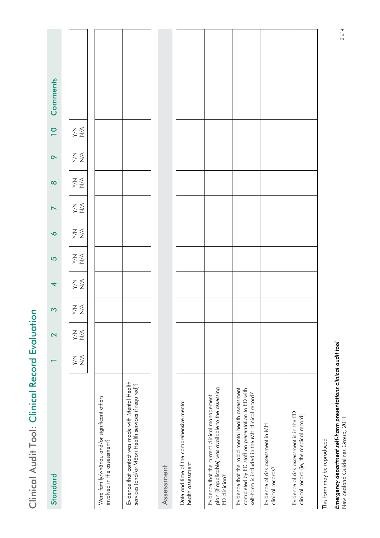| ֧֖֖֖֧֚֚֚֚֚֝ <u>֚</u>    |  |
|-------------------------|--|
| j                       |  |
| i                       |  |
|                         |  |
|                         |  |
| $\overline{\mathbf{C}}$ |  |
|                         |  |
| $\frac{1}{2}$           |  |
| L                       |  |

| Standard                                                                                                                                                 |                                            | $\overline{\mathbf{C}}$                               | S                                    | $\overline{\mathcal{A}}$                              | $\overline{5}$                       | $\bullet$                                             | $\blacktriangleright$                                 | $\infty$ | $\bullet$                                                          | $\overline{10}$                      | Comments |
|----------------------------------------------------------------------------------------------------------------------------------------------------------|--------------------------------------------|-------------------------------------------------------|--------------------------------------|-------------------------------------------------------|--------------------------------------|-------------------------------------------------------|-------------------------------------------------------|----------|--------------------------------------------------------------------|--------------------------------------|----------|
|                                                                                                                                                          | $\underset{\textstyle\geq\,0}{\leq\,}\leq$ | $\underset{\text{X}}{\leq} \underset{\text{X}}{\leq}$ | $\sum_{\mathsf{X}}\sum_{\mathsf{X}}$ | $\underset{\text{X}}{\leq} \underset{\text{X}}{\leq}$ | $\sum_{\mathsf{X}}\sum_{\mathsf{X}}$ | $\underset{\text{X}}{\leq} \underset{\text{X}}{\leq}$ | $\underset{\text{X}}{\leq} \underset{\text{X}}{\leq}$ | ≹<br>XX  | $\underset{\textstyle\geq\,}\leq\,\underset{\textstyle\geq\,}\leq$ | $\sum_{\mathsf{X}}\sum_{\mathsf{X}}$ |          |
| Were family/whānau and/or significant others<br>involved in the assessment?                                                                              |                                            |                                                       |                                      |                                                       |                                      |                                                       |                                                       |          |                                                                    |                                      |          |
| Evidence that contact was made with Mental Health<br>services (and/or Māori Health services if required)?                                                |                                            |                                                       |                                      |                                                       |                                      |                                                       |                                                       |          |                                                                    |                                      |          |
| <b>Assessment</b>                                                                                                                                        |                                            |                                                       |                                      |                                                       |                                      |                                                       |                                                       |          |                                                                    |                                      |          |
| Date and time of the comprehensive mental<br>health assessment                                                                                           |                                            |                                                       |                                      |                                                       |                                      |                                                       |                                                       |          |                                                                    |                                      |          |
| plan (if applicable) was available to the assessing<br>ED clinician?<br>Evidence that the current clinical management                                    |                                            |                                                       |                                      |                                                       |                                      |                                                       |                                                       |          |                                                                    |                                      |          |
| Evidence that the rapid mental health assessment<br>completed by ED staff on presentation to ED with<br>self-harm is included in the MH clinical record? |                                            |                                                       |                                      |                                                       |                                      |                                                       |                                                       |          |                                                                    |                                      |          |
| Evidence of risk assessment in MH<br>clinical records?                                                                                                   |                                            |                                                       |                                      |                                                       |                                      |                                                       |                                                       |          |                                                                    |                                      |          |
| Evidence of risk assessment is in the ED<br>clinical record (ie, the medical record)                                                                     |                                            |                                                       |                                      |                                                       |                                      |                                                       |                                                       |          |                                                                    |                                      |          |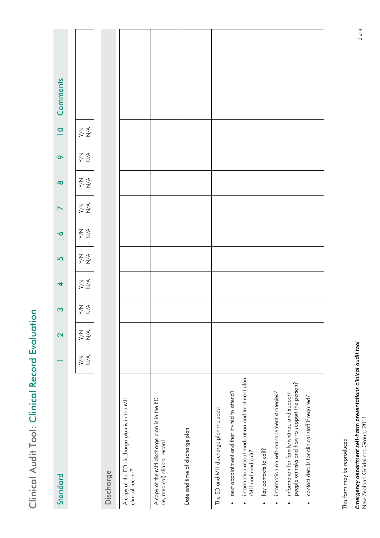| יים הראי<br>ı<br>$\frac{1}{3}$<br>$\frac{1}{2}$ |  |
|-------------------------------------------------|--|
|                                                 |  |
|                                                 |  |
|                                                 |  |
|                                                 |  |
|                                                 |  |
|                                                 |  |
|                                                 |  |
|                                                 |  |

| Standard                                                                                                 |                                      | 2                                                 | S                                                                                                                        | 4                                                     | 5                                                 | $\bullet$                                             |                                                     | $\infty$                                          | $\sigma$                                              | $\overline{0}$                                    | Comments |
|----------------------------------------------------------------------------------------------------------|--------------------------------------|---------------------------------------------------|--------------------------------------------------------------------------------------------------------------------------|-------------------------------------------------------|---------------------------------------------------|-------------------------------------------------------|-----------------------------------------------------|---------------------------------------------------|-------------------------------------------------------|---------------------------------------------------|----------|
|                                                                                                          | $\underset{\textstyle\geq\,2}{\leq}$ | $\sum_{\mathsf{Y}}\sum_{\mathsf{Z}}^{\mathsf{Z}}$ | $\underset{\textstyle\geq\,0}{\underset{\textstyle\leq\,0}{\sum}}\,\underset{\textstyle\leq\,0}{\underbrace{\,\leq\,0}}$ | $\underset{\text{X}}{\leq} \underset{\text{X}}{\leq}$ | $\sum_{\mathsf{X}}\sum_{\mathsf{X}}^{\mathsf{X}}$ | $\underset{\text{X}}{\leq} \underset{\text{X}}{\leq}$ | $\underset{\succeq}{\leq} \underset{\succeq}{\leq}$ | $\sum_{\mathsf{X}}\sum_{\mathsf{X}}^{\mathsf{X}}$ | $\underset{\text{Z}}{\leq} \underset{\text{Z}}{\leq}$ | $\sum_{\mathsf{Y}}\sum_{\mathsf{Z}}^{\mathsf{Z}}$ |          |
| Discharge                                                                                                |                                      |                                                   |                                                                                                                          |                                                       |                                                   |                                                       |                                                     |                                                   |                                                       |                                                   |          |
| A copy of the ED discharge plan is in the MH<br>clinical record?                                         |                                      |                                                   |                                                                                                                          |                                                       |                                                   |                                                       |                                                     |                                                   |                                                       |                                                   |          |
| A copy of the MH discharge plan is in the ED<br>(ie, medical) clinical record                            |                                      |                                                   |                                                                                                                          |                                                       |                                                   |                                                       |                                                     |                                                   |                                                       |                                                   |          |
| Date and time of discharge plan                                                                          |                                      |                                                   |                                                                                                                          |                                                       |                                                   |                                                       |                                                     |                                                   |                                                       |                                                   |          |
| The ED and MH discharge plan includes:                                                                   |                                      |                                                   |                                                                                                                          |                                                       |                                                   |                                                       |                                                     |                                                   |                                                       |                                                   |          |
| next appointment and that invited to attend?<br>$\bullet$                                                |                                      |                                                   |                                                                                                                          |                                                       |                                                   |                                                       |                                                     |                                                   |                                                       |                                                   |          |
| information about medication and treatment plan<br>(MH and medical)?<br>$\bullet$                        |                                      |                                                   |                                                                                                                          |                                                       |                                                   |                                                       |                                                     |                                                   |                                                       |                                                   |          |
| key contacts to call?<br>$\bullet$                                                                       |                                      |                                                   |                                                                                                                          |                                                       |                                                   |                                                       |                                                     |                                                   |                                                       |                                                   |          |
| information on self-management strategies?<br>$\bullet$                                                  |                                      |                                                   |                                                                                                                          |                                                       |                                                   |                                                       |                                                     |                                                   |                                                       |                                                   |          |
| people on risks and how to support the person?<br>information for family/whanau and support<br>$\bullet$ |                                      |                                                   |                                                                                                                          |                                                       |                                                   |                                                       |                                                     |                                                   |                                                       |                                                   |          |
| contact details for clinical staff if required?<br>$\bullet$                                             |                                      |                                                   |                                                                                                                          |                                                       |                                                   |                                                       |                                                     |                                                   |                                                       |                                                   |          |
|                                                                                                          |                                      |                                                   |                                                                                                                          |                                                       |                                                   |                                                       |                                                     |                                                   |                                                       |                                                   |          |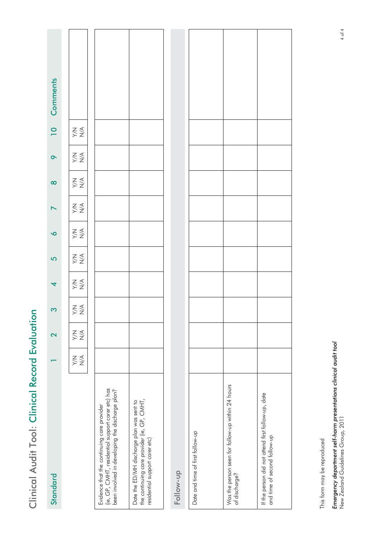|   | I                |
|---|------------------|
| í | i                |
|   |                  |
|   | י<br>נו          |
|   |                  |
|   |                  |
|   | $\frac{1}{6}$    |
|   |                  |
|   |                  |
|   | $\sum_{i=1}^{n}$ |

| Standard                                                                                                                                           |                                                    | 2                                    | S                                                 | 4                                                                             | 5                                                     | $\overline{\mathbf{O}}$               |                                                       | $\infty$                                              | $\bullet$                            | $\overline{10}$                                   | <b>Comments</b> |
|----------------------------------------------------------------------------------------------------------------------------------------------------|----------------------------------------------------|--------------------------------------|---------------------------------------------------|-------------------------------------------------------------------------------|-------------------------------------------------------|---------------------------------------|-------------------------------------------------------|-------------------------------------------------------|--------------------------------------|---------------------------------------------------|-----------------|
|                                                                                                                                                    | $\sum_{\mathsf{Y}} \sum_{\mathsf{Z}}^{\mathsf{Z}}$ | $\sum_{\mathsf{X}}\sum_{\mathsf{X}}$ | $\sum_{\mathsf{Y}}\sum_{\mathsf{Z}}^{\mathsf{Z}}$ | $\mathop{\lesssim}_{\mathop{\searrow}} \mathop{\lesssim}_{\mathop{\searrow}}$ | $\underset{\text{X}}{\leq} \underset{\text{X}}{\leq}$ | $\sum_{\mathsf{Y}} \sum_{\mathsf{Z}}$ | $\underset{\text{X}}{\leq} \underset{\text{X}}{\leq}$ | $\underset{\text{Z}}{\leq} \underset{\text{Z}}{\leq}$ | $\underset{\textstyle\geq\,2}{\leq}$ | $\sum_{\mathsf{Y}}\sum_{\mathsf{Z}}^{\mathsf{Z}}$ |                 |
| (ie, GP, CMHT, residential support carer etc) has<br>been involved in developing the discharge plan?<br>Evidence that the continuing care provider |                                                    |                                      |                                                   |                                                                               |                                                       |                                       |                                                       |                                                       |                                      |                                                   |                 |
| the continuing care provider (ie, GP, CMHT,<br>Date the ED/MH discharge plan was sent to<br>residential support carer etc)                         |                                                    |                                      |                                                   |                                                                               |                                                       |                                       |                                                       |                                                       |                                      |                                                   |                 |
| Follow-up                                                                                                                                          |                                                    |                                      |                                                   |                                                                               |                                                       |                                       |                                                       |                                                       |                                      |                                                   |                 |
| Date and time of first follow-up                                                                                                                   |                                                    |                                      |                                                   |                                                                               |                                                       |                                       |                                                       |                                                       |                                      |                                                   |                 |
| Was the person seen for follow-up within 24 hours<br>of discharge?                                                                                 |                                                    |                                      |                                                   |                                                                               |                                                       |                                       |                                                       |                                                       |                                      |                                                   |                 |

If the person did not attend first follow-up, date

If the person did not attend first follow-up, date<br>and time of second follow-up

and time of second follow-up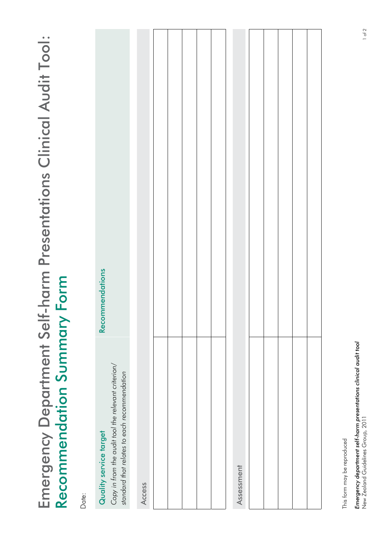# <span id="page-30-0"></span>Emergency Department Self-harm Presentations Clinical Audit Tool: Emergency Department Self-harm Presentations Clinical Audit Tool: Recommendation Summary Form Recommendation Summary Form

Date:

This form may be reproduced This form may be reproduced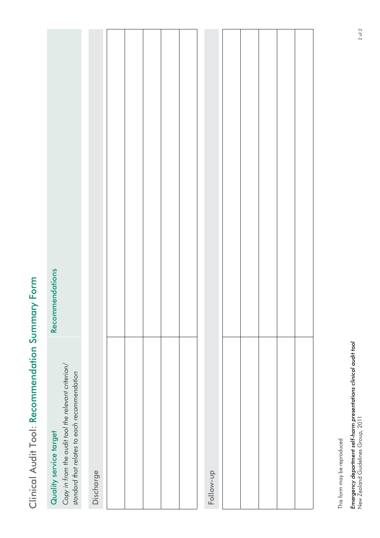# Clinical Audit Tool: Recommendation Summary Form Clinical Audit Tool: Recommendation Summary Form

| Copy in from the audit tool the relevant criterion/<br>standard that relates to each recommendation<br>Quality service target | Recommendations |
|-------------------------------------------------------------------------------------------------------------------------------|-----------------|
| Discharge                                                                                                                     |                 |
|                                                                                                                               |                 |
|                                                                                                                               |                 |
|                                                                                                                               |                 |
|                                                                                                                               |                 |
|                                                                                                                               |                 |
|                                                                                                                               |                 |
| Follow-up                                                                                                                     |                 |
|                                                                                                                               |                 |
|                                                                                                                               |                 |
|                                                                                                                               |                 |
|                                                                                                                               |                 |
|                                                                                                                               |                 |

This form may be reproduced This form may be reproduced